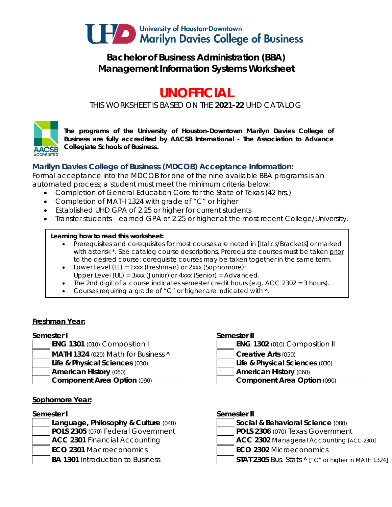

## **Bachelor of Business Administration (BBA) Management Information Systems Worksheet**

# **UNOFFICIAL**

*THIS WORKSHEET IS BASED ON THE 2021-22 UHD CATALOG*



*The programs of the University of Houston-Downtown Marilyn Davies College of Business are fully accredited by AACSB International - The Association to Advance Collegiate Schools of Business.*

### **Marilyn Davies College of Business (MDCOB) Acceptance Information:**

Formal acceptance into the MDCOB for one of the nine available BBA programs is an automated process; a student must meet the minimum criteria below:

- Completion of General Education Core for the State of Texas (42 hrs.)
- Completion of MATH 1324 with grade of "C" or higher
- Established UHD GPA of 2.25 or higher for current students
- Transfer students earned GPA of 2.25 or higher at the most recent College/University.

### **Learning how to read this worksheet:**

- Prerequisites and corequisites for most courses are noted in *[Italics/Brackets]* or marked with asterisk \*. See catalog course descriptions. Prerequisite courses must be taken prior to the desired course; corequisite courses may be taken together in the same term.
- Lower Level (LL) = 1xxx (Freshman) or 2xxx (Sophomore);
- Upper Level (UL) = 3xxx (Junior) or 4xxx (Senior) = Advanced.
- The 2nd digit of a course indicates semester credit hours (e.g.  $ACC$  2302 = 3 hours).
- Courses requiring a grade of "C" or higher are indicated with  $\lambda$ .

### **Freshman Year:**

### **Semester I Semester II**

- 
- **MATH 1324** (020) Math for Business **A Creative Arts** (050)
- **Life & Physical Sciences** (030) **Life & Physical Sciences** (030)
- -

### **Sophomore Year:**

- **ACC 2301** Financial Accounting **ACC 2302** Managerial Accounting *[ACC 2301]* **ECO 2301** Macroeconomics **ECO 2302** Microeconomics
- 
- 

- **ENG 1301** (010) Composition I **ENG 1302** (010) Composition II
	- -
- **American History** (060) **American History** (060)
- **Component Area Option** (090) **and Component Area Option** (090)

### **Semester I Semester II**

- **Language, Philosophy & Culture** (040) **Social & Behavioral Science** (080) **POLS 2305** (070) Federal Government **POLS 2306** (070) Texas Government
	-
	-
- **BA 1301** Introduction to Business **STAT 2305** Bus. Stats **^** ["C" or higher in MATH 1324]